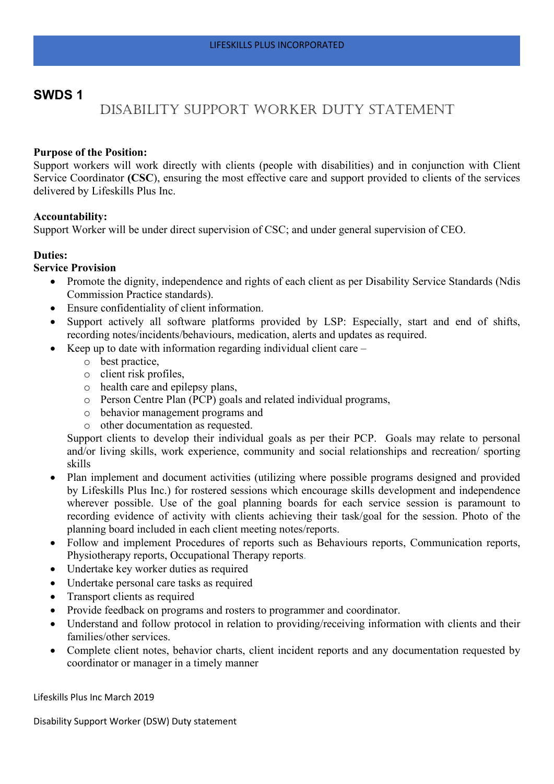# **SWDS 1**

# Disability Support Worker Duty Statement

# **Purpose of the Position:**

Support workers will work directly with clients (people with disabilities) and in conjunction with Client Service Coordinator **(CSC**), ensuring the most effective care and support provided to clients of the services delivered by Lifeskills Plus Inc.

# **Accountability:**

Support Worker will be under direct supervision of CSC; and under general supervision of CEO.

# **Duties:**

# **Service Provision**

- Promote the dignity, independence and rights of each client as per Disability Service Standards (Ndis Commission Practice standards).
- Ensure confidentiality of client information.
- Support actively all software platforms provided by LSP: Especially, start and end of shifts, recording notes/incidents/behaviours, medication, alerts and updates as required.
- Keep up to date with information regarding individual client care
	- o best practice,
	- o client risk profiles,
	- o health care and epilepsy plans,
	- o Person Centre Plan (PCP) goals and related individual programs,
	- o behavior management programs and
	- o other documentation as requested.

Support clients to develop their individual goals as per their PCP. Goals may relate to personal and/or living skills, work experience, community and social relationships and recreation/ sporting skills

- Plan implement and document activities (utilizing where possible programs designed and provided by Lifeskills Plus Inc.) for rostered sessions which encourage skills development and independence wherever possible. Use of the goal planning boards for each service session is paramount to recording evidence of activity with clients achieving their task/goal for the session. Photo of the planning board included in each client meeting notes/reports.
- Follow and implement Procedures of reports such as Behaviours reports, Communication reports, Physiotherapy reports, Occupational Therapy reports.
- Undertake key worker duties as required
- Undertake personal care tasks as required
- Transport clients as required
- Provide feedback on programs and rosters to programmer and coordinator.
- Understand and follow protocol in relation to providing/receiving information with clients and their families/other services.
- Complete client notes, behavior charts, client incident reports and any documentation requested by coordinator or manager in a timely manner

Lifeskills Plus Inc March 2019

Disability Support Worker (DSW) Duty statement